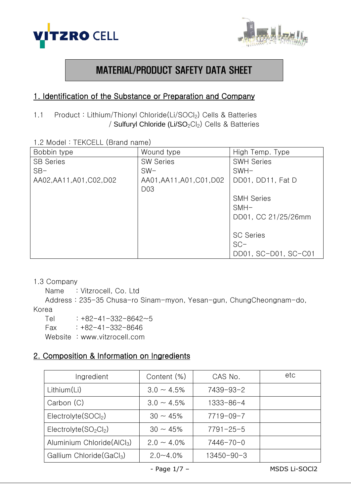



# MATERIAL/PRODUCT SAFETY DATA SHEET

# 1. Identification of the Substance or Preparation and Company

- 1.1 Product: Lithium/Thionyl Chloride(Li/SOCl<sub>2</sub>) Cells & Batteries / Sulfuryl Chloride (Li/SO<sub>2</sub>Cl<sub>2</sub>) Cells & Batteries
- 1.2 Model : TEKCELL (Brand name)

| Bobbin type               | Wound type                | High Temp. Type      |
|---------------------------|---------------------------|----------------------|
| <b>SB Series</b>          | <b>SW Series</b>          | <b>SWH Series</b>    |
| $SB-$                     | $SW-$                     | $SWH-$               |
| AA02, AA11, A01, C02, D02 | AA01, AA11, A01, C01, D02 | DD01, DD11, Fat D    |
|                           | D <sub>03</sub>           |                      |
|                           |                           | <b>SMH Series</b>    |
|                           |                           | $SMH-$               |
|                           |                           | DD01, CC 21/25/26mm  |
|                           |                           |                      |
|                           |                           | <b>SC Series</b>     |
|                           |                           | $SC-$                |
|                           |                           | DD01, SC-D01, SC-C01 |

#### 1.3 Company

```
Name : Vitzrocell, Co. Ltd
```
 Address : 235-35 Chusa-ro Sinam-myon, Yesan-gun, ChungCheongnam-do, Korea

Tel  $: +82-41-332-8642-5$  $Fax : +82-41-332-8646$ Website : www.vitzrocell.com

# 2. Composition & Information on Ingredients

| Ingredient                             | Content (%)      | CAS No.          | etc |
|----------------------------------------|------------------|------------------|-----|
| Lithium(Li)                            | $3.0 \sim 4.5\%$ | 7439-93-2        |     |
| Carbon (C)                             | $3.0 \sim 4.5\%$ | 1333-86-4        |     |
| Electrolyte(SOCI <sub>2</sub> )        | $30 \sim 45\%$   | $7719 - 09 - 7$  |     |
| $Electrolyte(SO2Cl2)$                  | $30 \sim 45\%$   | $7791 - 25 - 5$  |     |
| Aluminium Chloride(AlCl <sub>3</sub> ) | $2.0 \sim 4.0\%$ | 7446-70-0        |     |
| Gallium Chloride (GaCl <sub>3</sub> )  | $2.0 - 4.0\%$    | $13450 - 90 - 3$ |     |

- Page 1/7 – MSDS Li-SOCl2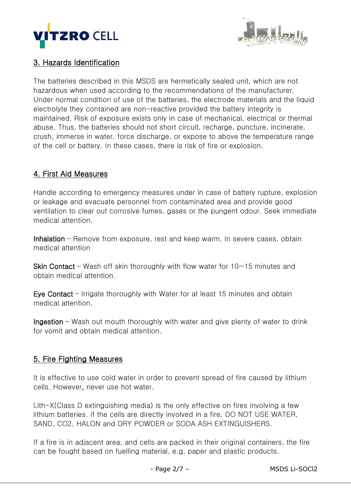



### 3. Hazards Identification

The batteries described in this MSDS are hermetically sealed unit, which are not hazardous when used according to the recommendations of the manufacturer. Under normal condition of use of the batteries, the electrode materials and the liquid electrolyte they contained are non-reactive provided the battery integrity is maintained. Risk of exposure exists only in case of mechanical, electrical or thermal abuse. Thus, the batteries should not short circuit, recharge, puncture, incinerate, crush, immerse in water, force discharge, or expose to above the temperature range of the cell or battery. In these cases, there is risk of fire or explosion.

### 4. First Aid Measures

Handle according to emergency measures under in case of battery rupture, explosion or leakage and evacuate personnel from contaminated area and provide good ventilation to clear out corrosive fumes, gases or the pungent odour. Seek immediate medical attention.

Inhalation – Remove from exposure, rest and keep warm. In severe cases, obtain medical attention

**Skin Contact** – Wash off skin thoroughly with flow water for  $10~15$  minutes and obtain medical attention.

Eye Contact – Irrigate thoroughly with Water for at least 15 minutes and obtain medical attention.

Ingestion – Wash out mouth thoroughly with water and give plenty of water to drink for vomit and obtain medical attention.

### 5. Fire Fighting Measures

It is effective to use cold water in order to prevent spread of fire caused by lithium cells. However, never use hot water.

Lith-X(Class D extinguishing media) is the only effective on fires involving a few lithium batteries. If the cells are directly involved in a fire, DO NOT USE WATER, SAND, CO2, HALON and DRY POWDER or SODA ASH EXTINGUISHERS.

If a fire is in adjacent area, and cells are packed in their original containers, the fire can be fought based on fuelling material, e.g. paper and plastic products.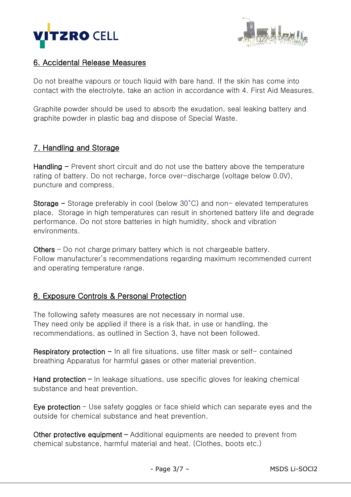



### 6. Accidental Release Measures

Do not breathe vapours or touch liquid with bare hand. If the skin has come into contact with the electrolyte, take an action in accordance with 4. First Aid Measures.

Graphite powder should be used to absorb the exudation, seal leaking battery and graphite powder in plastic bag and dispose of Special Waste.

### 7. Handling and Storage

Handling  $-$  Prevent short circuit and do not use the battery above the temperature rating of battery. Do not recharge, force over-discharge (voltage below 0.0V), puncture and compress.

Storage – Storage preferably in cool (below  $30^{\circ}$ C) and non-elevated temperatures place. Storage in high temperatures can result in shortened battery life and degrade performance. Do not store batteries in high humidity, shock and vibration environments.

Others – Do not charge primary battery which is not chargeable battery. Follow manufacturer's recommendations regarding maximum recommended current and operating temperature range.

# 8. Exposure Controls & Personal Protection

The following safety measures are not necessary in normal use. They need only be applied if there is a risk that, in use or handling, the recommendations, as outlined in Section 3, have not been followed.

Respiratory protection  $-$  In all fire situations, use filter mask or self- contained breathing Apparatus for harmful gases or other material prevention.

Hand protection – In leakage situations, use specific gloves for leaking chemical substance and heat prevention.

Eye protection – Use safety goggles or face shield which can separate eyes and the outside for chemical substance and heat prevention.

Other protective equipment – Additional equipments are needed to prevent from chemical substance, harmful material and heat. (Clothes, boots etc.)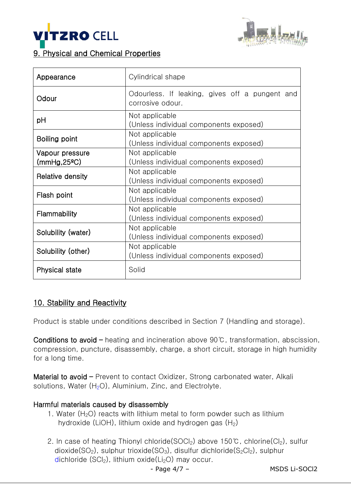



# 9. Physical and Chemical Properties

| Appearance                      | Cylindrical shape                                                  |
|---------------------------------|--------------------------------------------------------------------|
| Odour                           | Odourless. If leaking, gives off a pungent and<br>corrosive odour. |
| pH                              | Not applicable<br>(Unless individual components exposed)           |
| Boiling point                   | Not applicable<br>(Unless individual components exposed)           |
| Vapour pressure<br>(mmHg, 25°C) | Not applicable<br>(Unless individual components exposed)           |
| <b>Relative density</b>         | Not applicable<br>(Unless individual components exposed)           |
| Flash point                     | Not applicable<br>(Unless individual components exposed)           |
| Flammability                    | Not applicable<br>(Unless individual components exposed)           |
| Solubility (water)              | Not applicable<br>(Unless individual components exposed)           |
| Solubility (other)              | Not applicable<br>(Unless individual components exposed)           |
| <b>Physical state</b>           | Solid                                                              |

### 10. Stability and Reactivity

Product is stable under conditions described in Section 7 (Handling and storage).

Conditions to avoid – heating and incineration above 90℃, transformation, abscission, compression, puncture, disassembly, charge, a short circuit, storage in high humidity for a long time.

Material to avoid - Prevent to contact Oxidizer, Strong carbonated water, Alkali solutions, Water  $(H<sub>2</sub>O)$ , Aluminium, Zinc, and Electrolyte.

#### Harmful materials caused by disassembly

- 1. Water  $(H<sub>2</sub>O)$  reacts with lithium metal to form powder such as lithium hydroxide (LiOH), lithium oxide and hydrogen gas  $(H_2)$
- 2. In case of heating Thionyl chloride(SOCl<sub>2</sub>) above 150℃, chlorine(Cl<sub>2</sub>), sulfur dioxide( $SO_2$ ), sulphur trioxide( $SO_3$ ), disulfur dichloride( $S_2Cl_2$ ), sulphur dichloride (SCI<sub>2</sub>), lithium oxide(Li<sub>2</sub>O) may occur.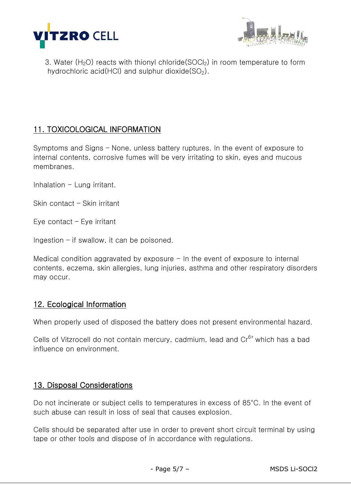



3. Water ( $H_2O$ ) reacts with thionyl chloride(SOCI<sub>2</sub>) in room temperature to form hydrochloric acid(HCl) and sulphur dioxide( $SO<sub>2</sub>$ ).

# 11. TOXICOLOGICAL INFORMATION

Symptoms and Signs – None, unless battery ruptures. In the event of exposure to internal contents, corrosive fumes will be very irritating to skin, eyes and mucous membranes.

Inhalation  $-$  Lung irritant.

Skin contact – Skin irritant

Eye contact – Eye irritant

Ingestion  $-$  if swallow, it can be poisoned.

Medical condition aggravated by exposure  $-$  In the event of exposure to internal contents, eczema, skin allergies, lung injuries, asthma and other respiratory disorders may occur.

### 12. Ecological Information

When properly used of disposed the battery does not present environmental hazard.

Cells of Vitzrocell do not contain mercury, cadmium, lead and Cr<sup>6+</sup> which has a bad influence on environment.

#### 13. Disposal Considerations

Do not incinerate or subject cells to temperatures in excess of 85°C. In the event of such abuse can result in loss of seal that causes explosion.

Cells should be separated after use in order to prevent short circuit terminal by using tape or other tools and dispose of in accordance with regulations.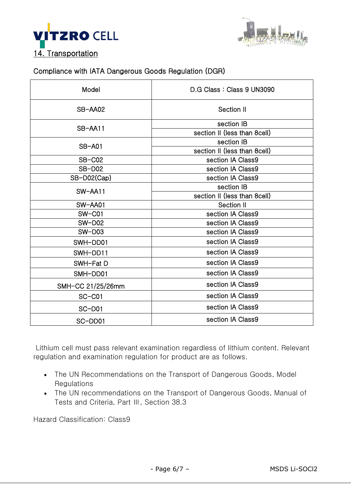



#### Compliance with IATA Dangerous Goods Regulation (DGR)

| Model             | D.G Class: Class 9 UN3090    |  |
|-------------------|------------------------------|--|
| SB-AA02           | Section II                   |  |
| SB-AA11           | section IB                   |  |
|                   | section II (less than 8cell) |  |
| <b>SB-A01</b>     | section IB                   |  |
|                   | section II (less than 8cell) |  |
| SB-C02            | section IA Class9            |  |
| <b>SB-D02</b>     | section IA Class9            |  |
| SB-D02(Cap)       | section IA Class9            |  |
| SW-AA11           | section IB                   |  |
|                   | section II (less than 8cell) |  |
| SW-AA01           | Section II                   |  |
| SW-C01            | section IA Class9            |  |
| $SW-D02$          | section IA Class9            |  |
| $SW-D03$          | section IA Class9            |  |
| SWH-DD01          | section IA Class9            |  |
| SWH-DD11          | section IA Class9            |  |
| SWH-Fat D         | section IA Class9            |  |
| SMH-DD01          | section IA Class9            |  |
| SMH-CC 21/25/26mm | section IA Class9            |  |
| $SC-C01$          | section IA Class9            |  |
| SC-D01            | section IA Class9            |  |
| SC-DD01           | section IA Class9            |  |

Lithium cell must pass relevant examination regardless of lithium content. Relevant regulation and examination regulation for product are as follows.

- The UN Recommendations on the Transport of Dangerous Goods, Model Regulations
- The UN recommendations on the Transport of Dangerous Goods, Manual of Tests and Criteria, Part Ⅲ, Section 38.3

Hazard Classification: Class9